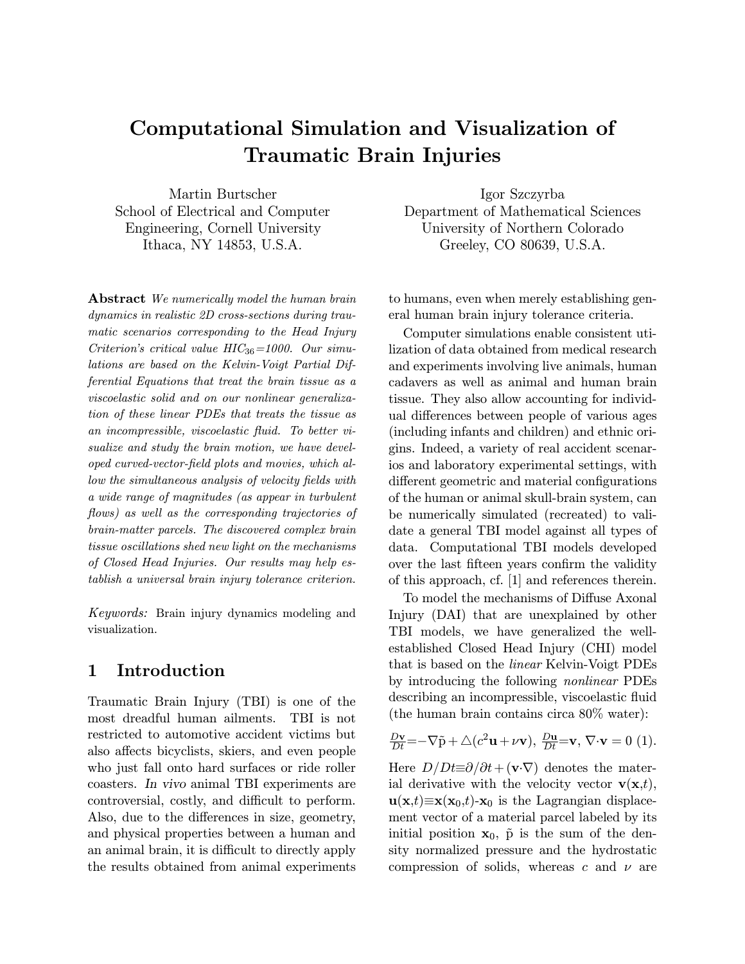# Computational Simulation and Visualization of Traumatic Brain Injuries

Martin Burtscher School of Electrical and Computer Engineering, Cornell University Ithaca, NY 14853, U.S.A.

Abstract We numerically model the human brain dynamics in realistic 2D cross-sections during traumatic scenarios corresponding to the Head Injury Criterion's critical value  $HIC_{36}=1000$ . Our simulations are based on the Kelvin-Voigt Partial Differential Equations that treat the brain tissue as a viscoelastic solid and on our nonlinear generalization of these linear PDEs that treats the tissue as an incompressible, viscoelastic fluid. To better visualize and study the brain motion, we have developed curved-vector-field plots and movies, which allow the simultaneous analysis of velocity fields with a wide range of magnitudes (as appear in turbulent flows) as well as the corresponding trajectories of brain-matter parcels. The discovered complex brain tissue oscillations shed new light on the mechanisms of Closed Head Injuries. Our results may help establish a universal brain injury tolerance criterion.

Keywords: Brain injury dynamics modeling and visualization.

### 1 Introduction

Traumatic Brain Injury (TBI) is one of the most dreadful human ailments. TBI is not restricted to automotive accident victims but also affects bicyclists, skiers, and even people who just fall onto hard surfaces or ride roller coasters. In vivo animal TBI experiments are controversial, costly, and difficult to perform. Also, due to the differences in size, geometry, and physical properties between a human and an animal brain, it is difficult to directly apply the results obtained from animal experiments

Igor Szczyrba Department of Mathematical Sciences University of Northern Colorado Greeley, CO 80639, U.S.A.

to humans, even when merely establishing general human brain injury tolerance criteria.

Computer simulations enable consistent utilization of data obtained from medical research and experiments involving live animals, human cadavers as well as animal and human brain tissue. They also allow accounting for individual differences between people of various ages (including infants and children) and ethnic origins. Indeed, a variety of real accident scenarios and laboratory experimental settings, with different geometric and material configurations of the human or animal skull-brain system, can be numerically simulated (recreated) to validate a general TBI model against all types of data. Computational TBI models developed over the last fifteen years confirm the validity of this approach, cf. [1] and references therein.

To model the mechanisms of Diffuse Axonal Injury (DAI) that are unexplained by other TBI models, we have generalized the wellestablished Closed Head Injury (CHI) model that is based on the linear Kelvin-Voigt PDEs by introducing the following nonlinear PDEs describing an incompressible, viscoelastic fluid (the human brain contains circa 80% water):

$$
\frac{D\mathbf{v}}{Dt} = -\nabla \tilde{\mathbf{p}} + \triangle (c^2 \mathbf{u} + \nu \mathbf{v}), \frac{D\mathbf{u}}{Dt} = \mathbf{v}, \nabla \cdot \mathbf{v} = 0 \tag{1}.
$$

Here  $D/Dt \equiv \partial/\partial t + (\mathbf{v} \cdot \nabla)$  denotes the material derivative with the velocity vector  $\mathbf{v}(\mathbf{x},t)$ ,  $u(x,t) \equiv x(x_0,t) - x_0$  is the Lagrangian displacement vector of a material parcel labeled by its initial position  $x_0$ ,  $\tilde{p}$  is the sum of the density normalized pressure and the hydrostatic compression of solids, whereas c and  $\nu$  are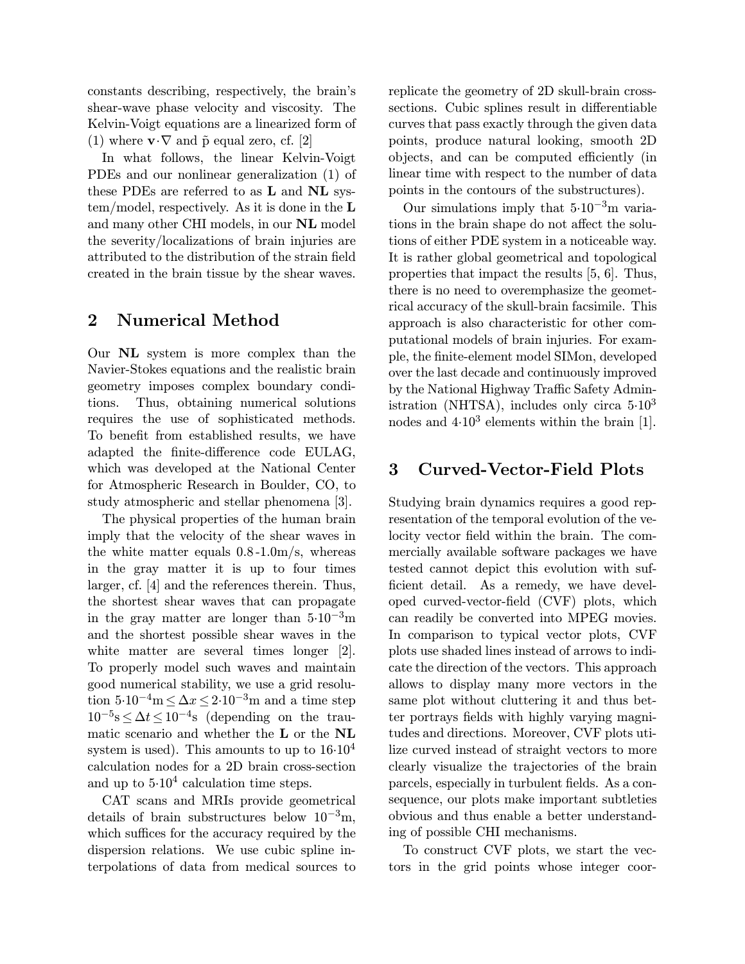constants describing, respectively, the brain's shear-wave phase velocity and viscosity. The Kelvin-Voigt equations are a linearized form of (1) where  $\mathbf{v} \cdot \nabla$  and  $\tilde{\mathbf{p}}$  equal zero, cf. [2]

In what follows, the linear Kelvin-Voigt PDEs and our nonlinear generalization (1) of these PDEs are referred to as L and NL system/model, respectively. As it is done in the L and many other CHI models, in our NL model the severity/localizations of brain injuries are attributed to the distribution of the strain field created in the brain tissue by the shear waves.

### 2 Numerical Method

Our NL system is more complex than the Navier-Stokes equations and the realistic brain geometry imposes complex boundary conditions. Thus, obtaining numerical solutions requires the use of sophisticated methods. To benefit from established results, we have adapted the finite-difference code EULAG, which was developed at the National Center for Atmospheric Research in Boulder, CO, to study atmospheric and stellar phenomena [3].

The physical properties of the human brain imply that the velocity of the shear waves in the white matter equals 0.8 -1.0m/s, whereas in the gray matter it is up to four times larger, cf. [4] and the references therein. Thus, the shortest shear waves that can propagate in the gray matter are longer than  $5.10^{-3}$ m and the shortest possible shear waves in the white matter are several times longer [2]. To properly model such waves and maintain good numerical stability, we use a grid resolution  $5.10^{-4}$ m  $\leq \Delta x \leq 2.10^{-3}$ m and a time step  $10^{-5}$ s  $\leq \Delta t \leq 10^{-4}$ s (depending on the traumatic scenario and whether the L or the NL system is used). This amounts to up to  $16.10<sup>4</sup>$ calculation nodes for a 2D brain cross-section and up to  $5.10^4$  calculation time steps.

CAT scans and MRIs provide geometrical details of brain substructures below  $10^{-3}$ m, which suffices for the accuracy required by the dispersion relations. We use cubic spline interpolations of data from medical sources to

replicate the geometry of 2D skull-brain crosssections. Cubic splines result in differentiable curves that pass exactly through the given data points, produce natural looking, smooth 2D objects, and can be computed efficiently (in linear time with respect to the number of data points in the contours of the substructures).

Our simulations imply that  $5.10^{-3}$ m variations in the brain shape do not affect the solutions of either PDE system in a noticeable way. It is rather global geometrical and topological properties that impact the results [5, 6]. Thus, there is no need to overemphasize the geometrical accuracy of the skull-brain facsimile. This approach is also characteristic for other computational models of brain injuries. For example, the finite-element model SIMon, developed over the last decade and continuously improved by the National Highway Traffic Safety Administration (NHTSA), includes only circa  $5.10<sup>3</sup>$ nodes and  $4.10<sup>3</sup>$  elements within the brain [1].

## 3 Curved-Vector-Field Plots

Studying brain dynamics requires a good representation of the temporal evolution of the velocity vector field within the brain. The commercially available software packages we have tested cannot depict this evolution with sufficient detail. As a remedy, we have developed curved-vector-field (CVF) plots, which can readily be converted into MPEG movies. In comparison to typical vector plots, CVF plots use shaded lines instead of arrows to indicate the direction of the vectors. This approach allows to display many more vectors in the same plot without cluttering it and thus better portrays fields with highly varying magnitudes and directions. Moreover, CVF plots utilize curved instead of straight vectors to more clearly visualize the trajectories of the brain parcels, especially in turbulent fields. As a consequence, our plots make important subtleties obvious and thus enable a better understanding of possible CHI mechanisms.

To construct CVF plots, we start the vectors in the grid points whose integer coor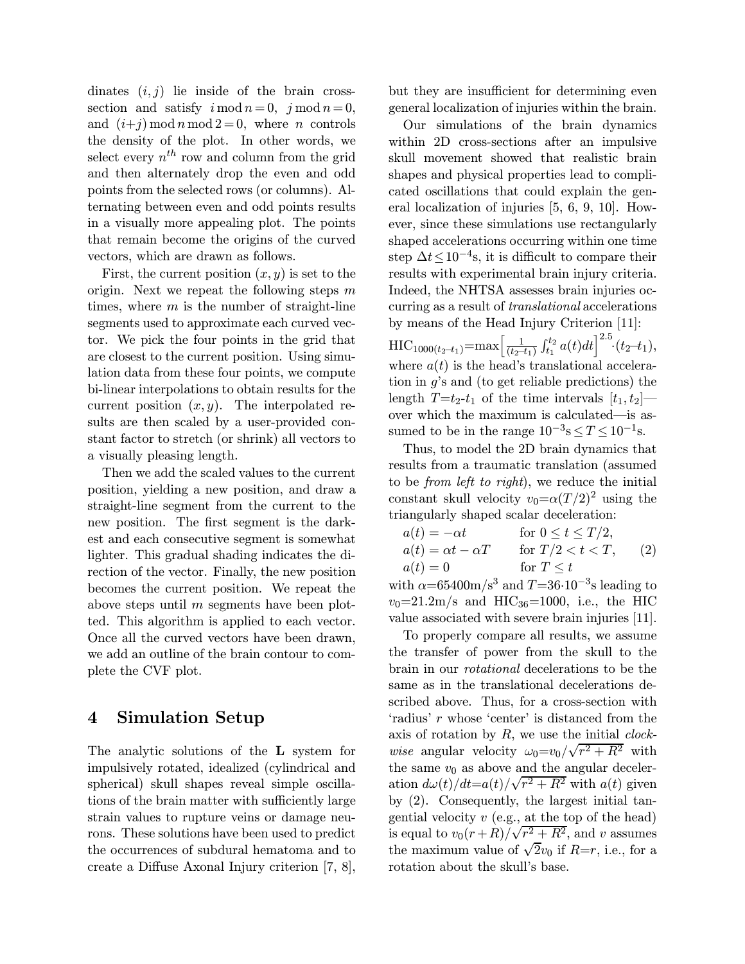dinates  $(i, j)$  lie inside of the brain crosssection and satisfy  $i \mod n = 0$ ,  $j \mod n = 0$ , and  $(i+j) \mod n \mod 2 = 0$ , where n controls the density of the plot. In other words, we select every  $n^{th}$  row and column from the grid and then alternately drop the even and odd points from the selected rows (or columns). Alternating between even and odd points results in a visually more appealing plot. The points that remain become the origins of the curved vectors, which are drawn as follows.

First, the current position  $(x, y)$  is set to the origin. Next we repeat the following steps  $m$ times, where  $m$  is the number of straight-line segments used to approximate each curved vector. We pick the four points in the grid that are closest to the current position. Using simulation data from these four points, we compute bi-linear interpolations to obtain results for the current position  $(x, y)$ . The interpolated results are then scaled by a user-provided constant factor to stretch (or shrink) all vectors to a visually pleasing length.

Then we add the scaled values to the current position, yielding a new position, and draw a straight-line segment from the current to the new position. The first segment is the darkest and each consecutive segment is somewhat lighter. This gradual shading indicates the direction of the vector. Finally, the new position becomes the current position. We repeat the above steps until  $m$  segments have been plotted. This algorithm is applied to each vector. Once all the curved vectors have been drawn, we add an outline of the brain contour to complete the CVF plot.

### 4 Simulation Setup

The analytic solutions of the L system for impulsively rotated, idealized (cylindrical and spherical) skull shapes reveal simple oscillations of the brain matter with sufficiently large strain values to rupture veins or damage neurons. These solutions have been used to predict the occurrences of subdural hematoma and to create a Diffuse Axonal Injury criterion [7, 8], but they are insufficient for determining even general localization of injuries within the brain.

Our simulations of the brain dynamics within 2D cross-sections after an impulsive skull movement showed that realistic brain shapes and physical properties lead to complicated oscillations that could explain the general localization of injuries [5, 6, 9, 10]. However, since these simulations use rectangularly shaped accelerations occurring within one time step  $\Delta t \leq 10^{-4}$ s, it is difficult to compare their results with experimental brain injury criteria. Indeed, the NHTSA assesses brain injuries occurring as a result of translational accelerations by means of the Head Injury Criterion [11]:  $\text{HIC}_{1000(t_2-t_1)} = \max \left[ \frac{1}{(t_2-t_1)} \right]$  $\int_{t_1}^{t_2} a(t)dt \Big]^{2.5} (t_2-t_1),$ where  $a(t)$  is the head's translational acceleration in g's and (to get reliable predictions) the length  $T=t_2-t_1$  of the time intervals  $[t_1, t_2]$ over which the maximum is calculated–is assumed to be in the range  $10^{-3}$ s $\leq T \leq 10^{-1}$ s.

Thus, to model the 2D brain dynamics that results from a traumatic translation (assumed to be from left to right), we reduce the initial constant skull velocity  $v_0 = \alpha (T/2)^2$  using the triangularly shaped scalar deceleration:

| $a(t) = -\alpha t$           | for $0 \le t \le T/2$ , |     |
|------------------------------|-------------------------|-----|
| $a(t) = \alpha t - \alpha T$ | for $T/2 < t < T$ ,     | (2) |
| $a(t)=0$                     | for $T \leq t$          |     |
| $\sim$                       |                         |     |

with  $\alpha$ =65400m/s<sup>3</sup> and T=36·10<sup>-3</sup>s leading to  $v_0=21.2 \text{m/s}$  and HIC<sub>36</sub>=1000, i.e., the HIC value associated with severe brain injuries [11].

To properly compare all results, we assume the transfer of power from the skull to the brain in our rotational decelerations to be the same as in the translational decelerations described above. Thus, for a cross-section with 'radius' r whose 'center' is distanced from the axis of rotation by  $R$ , we use the initial *clock*wise angular velocity  $\omega_0 = v_0 / \sqrt{r^2 + R^2}$  with the same  $v_0$  as above and the angular deceleration  $d\omega(t)/dt = a(t)/\sqrt{r^2 + R^2}$  with  $a(t)$  given by (2). Consequently, the largest initial tangential velocity  $v$  (e.g., at the top of the head) is equal to  $v_0(r+R)/\sqrt{r^2+R^2}$ , and v assumes the maximum value of  $\sqrt{2}v_0$  if  $R=r$ , i.e., for a rotation about the skull's base.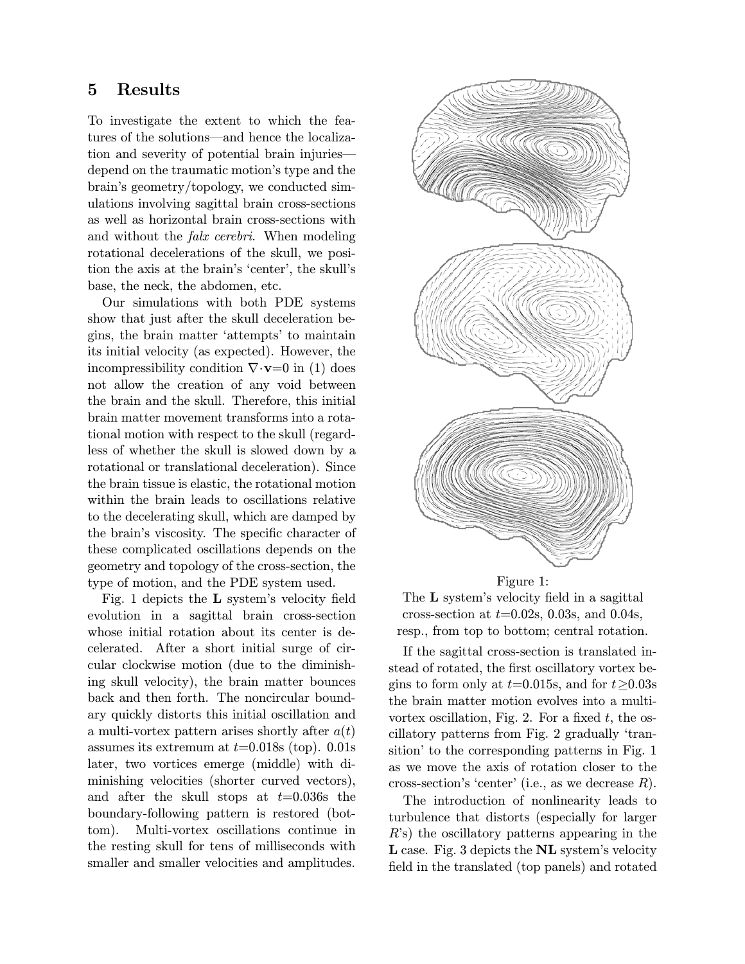#### 5 Results

To investigate the extent to which the features of the solutions–and hence the localization and severity of potential brain injuries– depend on the traumatic motion's type and the brain's geometry/topology, we conducted simulations involving sagittal brain cross-sections as well as horizontal brain cross-sections with and without the falx cerebri. When modeling rotational decelerations of the skull, we position the axis at the brain's 'center', the skull's base, the neck, the abdomen, etc.

Our simulations with both PDE systems show that just after the skull deceleration begins, the brain matter 'attempts' to maintain its initial velocity (as expected). However, the incompressibility condition  $\nabla \cdot \mathbf{v} = 0$  in (1) does not allow the creation of any void between the brain and the skull. Therefore, this initial brain matter movement transforms into a rotational motion with respect to the skull (regardless of whether the skull is slowed down by a rotational or translational deceleration). Since the brain tissue is elastic, the rotational motion within the brain leads to oscillations relative to the decelerating skull, which are damped by the brain's viscosity. The specific character of these complicated oscillations depends on the geometry and topology of the cross-section, the type of motion, and the PDE system used.

Fig. 1 depicts the L system's velocity field evolution in a sagittal brain cross-section whose initial rotation about its center is decelerated. After a short initial surge of circular clockwise motion (due to the diminishing skull velocity), the brain matter bounces back and then forth. The noncircular boundary quickly distorts this initial oscillation and a multi-vortex pattern arises shortly after  $a(t)$ assumes its extremum at  $t=0.018$ s (top). 0.01s later, two vortices emerge (middle) with diminishing velocities (shorter curved vectors), and after the skull stops at  $t=0.036s$  the boundary-following pattern is restored (bottom). Multi-vortex oscillations continue in the resting skull for tens of milliseconds with smaller and smaller velocities and amplitudes.



Figure 1:

The **L** system's velocity field in a sagittal cross-section at  $t=0.02$ s, 0.03s, and 0.04s, resp., from top to bottom; central rotation.

If the sagittal cross-section is translated instead of rotated, the first oscillatory vortex begins to form only at  $t=0.015$ s, and for  $t>0.03$ s the brain matter motion evolves into a multivortex oscillation, Fig. 2. For a fixed  $t$ , the oscillatory patterns from Fig. 2 gradually 'transition' to the corresponding patterns in Fig. 1 as we move the axis of rotation closer to the cross-section's 'center' (i.e., as we decrease  $R$ ).

The introduction of nonlinearity leads to turbulence that distorts (especially for larger  $R$ 's) the oscillatory patterns appearing in the L case. Fig. 3 depicts the NL system's velocity field in the translated (top panels) and rotated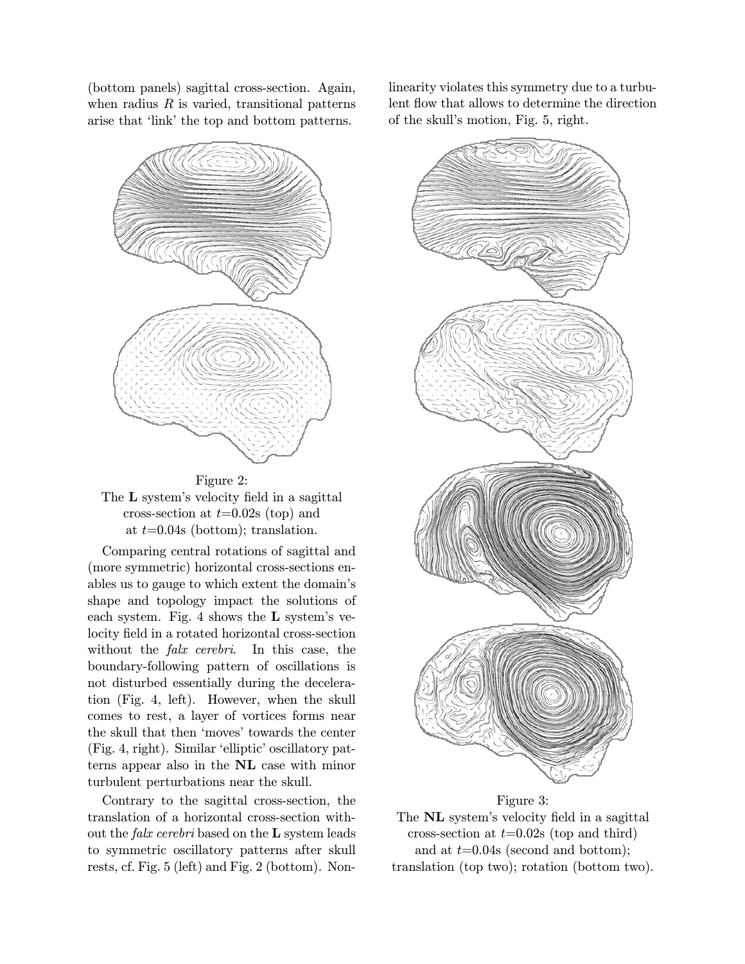(bottom panels) sagittal cross-section. Again, when radius  $R$  is varied, transitional patterns arise that 'link' the top and bottom patterns.





Comparing central rotations of sagittal and (more symmetric) horizontal cross-sections enables us to gauge to which extent the domain's shape and topology impact the solutions of each system. Fig. 4 shows the L system's velocity field in a rotated horizontal cross-section without the *falx cerebri*. In this case, the boundary-following pattern of oscillations is not disturbed essentially during the deceleration (Fig. 4, left). However, when the skull comes to rest, a layer of vortices forms near the skull that then 'moves' towards the center (Fig. 4, right). Similar 'elliptic' oscillatory patterns appear also in the NL case with minor turbulent perturbations near the skull.

Contrary to the sagittal cross-section, the translation of a horizontal cross-section without the falx cerebri based on the L system leads to symmetric oscillatory patterns after skull rests, cf. Fig. 5 (left) and Fig. 2 (bottom). Nonlinearity violates this symmetry due to a turbulent flow that allows to determine the direction of the skull's motion, Fig. 5, right.



#### Figure 3:

The NL system's velocity field in a sagittal cross-section at  $t=0.02$ s (top and third) and at  $t=0.04$ s (second and bottom); translation (top two); rotation (bottom two).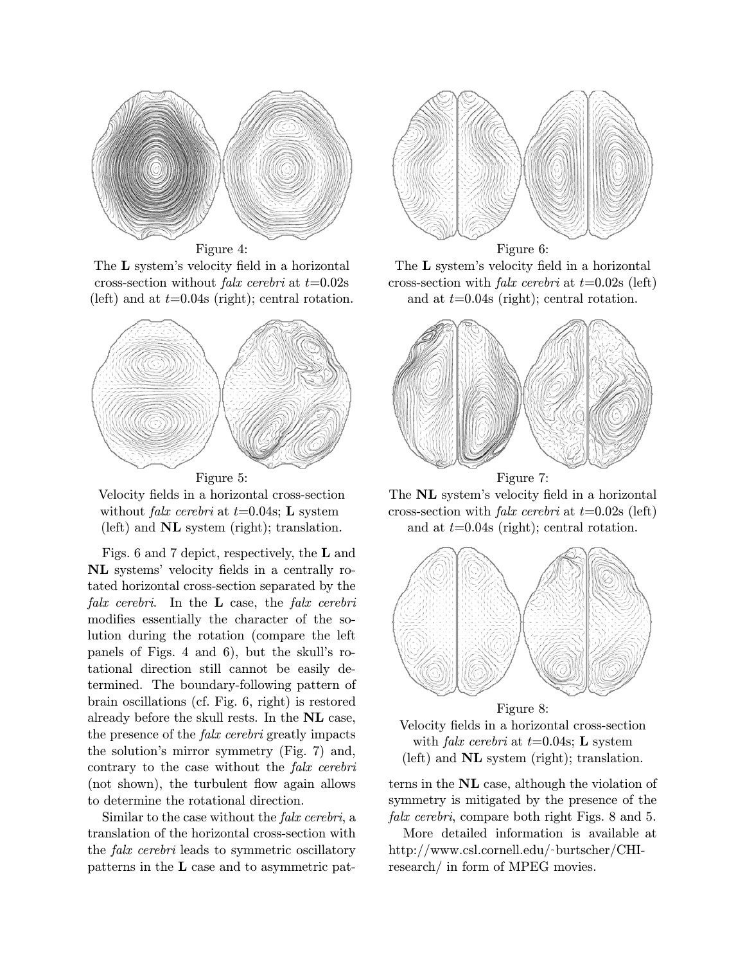

Figure 4:

The L system's velocity field in a horizontal cross-section without *falx cerebri* at  $t=0.02$ s (left) and at  $t=0.04s$  (right); central rotation.



Velocity fields in a horizontal cross-section without *falx cerebri* at  $t=0.04$ s; **L** system (left) and NL system (right); translation.

Figs. 6 and 7 depict, respectively, the L and NL systems' velocity fields in a centrally rotated horizontal cross-section separated by the falx cerebri. In the  $L$  case, the falx cerebri modifies essentially the character of the solution during the rotation (compare the left panels of Figs. 4 and 6), but the skull's rotational direction still cannot be easily determined. The boundary-following pattern of brain oscillations (cf. Fig. 6, right) is restored already before the skull rests. In the NL case, the presence of the falx cerebri greatly impacts the solution's mirror symmetry (Fig. 7) and, contrary to the case without the falx cerebri (not shown), the turbulent flow again allows to determine the rotational direction.

Similar to the case without the falx cerebri, a translation of the horizontal cross-section with the falx cerebri leads to symmetric oscillatory patterns in the L case and to asymmetric pat-



The L system's velocity field in a horizontal cross-section with *falx cerebri* at  $t=0.02$ s (left) and at  $t=0.04$ s (right); central rotation.



The NL system's velocity field in a horizontal cross-section with *falx cerebri* at  $t=0.02$ s (left) and at  $t=0.04$ s (right); central rotation.



Velocity fields in a horizontal cross-section with *falx cerebri* at  $t=0.04$ s; **L** system (left) and NL system (right); translation.

terns in the NL case, although the violation of symmetry is mitigated by the presence of the falx cerebri, compare both right Figs. 8 and 5.

More detailed information is available at http://www.csl.cornell.edu/˜burtscher/CHIresearch/ in form of MPEG movies.